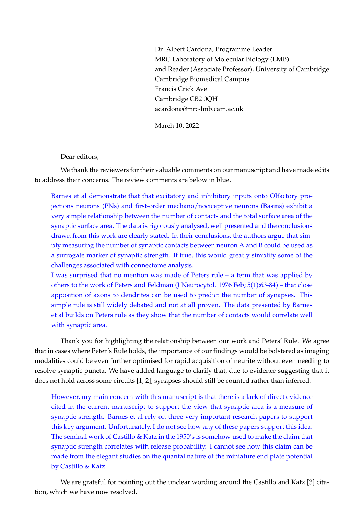Dr. Albert Cardona, Programme Leader MRC Laboratory of Molecular Biology (LMB) and Reader (Associate Professor), University of Cambridge Cambridge Biomedical Campus Francis Crick Ave Cambridge CB2 0QH acardona@mrc-lmb.cam.ac.uk

March 10, 2022

Dear editors,

We thank the reviewers for their valuable comments on our manuscript and have made edits to address their concerns. The review comments are below in blue.

Barnes et al demonstrate that that excitatory and inhibitory inputs onto Olfactory projections neurons (PNs) and first-order mechano/nociceptive neurons (Basins) exhibit a very simple relationship between the number of contacts and the total surface area of the synaptic surface area. The data is rigorously analysed, well presented and the conclusions drawn from this work are clearly stated. In their conclusions, the authors argue that simply measuring the number of synaptic contacts between neuron A and B could be used as a surrogate marker of synaptic strength. If true, this would greatly simplify some of the challenges associated with connectome analysis.

I was surprised that no mention was made of Peters rule – a term that was applied by others to the work of Peters and Feldman (J Neurocytol. 1976 Feb; 5(1):63-84) – that close apposition of axons to dendrites can be used to predict the number of synapses. This simple rule is still widely debated and not at all proven. The data presented by Barnes et al builds on Peters rule as they show that the number of contacts would correlate well with synaptic area.

Thank you for highlighting the relationship between our work and Peters' Rule. We agree that in cases where Peter's Rule holds, the importance of our findings would be bolstered as imaging modalities could be even further optimised for rapid acquisition of neurite without even needing to resolve synaptic puncta. We have added language to clarify that, due to evidence suggesting that it does not hold across some circuits [1, 2], synapses should still be counted rather than inferred.

However, my main concern with this manuscript is that there is a lack of direct evidence cited in the current manuscript to support the view that synaptic area is a measure of synaptic strength. Barnes et al rely on three very important research papers to support this key argument. Unfortunately, I do not see how any of these papers support this idea. The seminal work of Castillo & Katz in the 1950's is somehow used to make the claim that synaptic strength correlates with release probability. I cannot see how this claim can be made from the elegant studies on the quantal nature of the miniature end plate potential by Castillo & Katz.

We are grateful for pointing out the unclear wording around the Castillo and Katz [3] citation, which we have now resolved.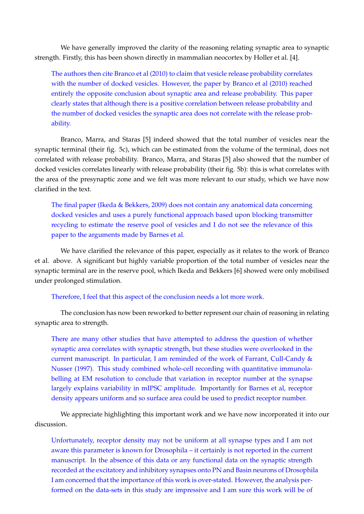We have generally improved the clarity of the reasoning relating synaptic area to synaptic strength. Firstly, this has been shown directly in mammalian neocortex by Holler et al. [4].

The authors then cite Branco et al (2010) to claim that vesicle release probability correlates with the number of docked vesicles. However, the paper by Branco et al (2010) reached entirely the opposite conclusion about synaptic area and release probability. This paper clearly states that although there is a positive correlation between release probability and the number of docked vesicles the synaptic area does not correlate with the release probability.

Branco, Marra, and Staras [5] indeed showed that the total number of vesicles near the synaptic terminal (their fig. 5c), which can be estimated from the volume of the terminal, does not correlated with release probability. Branco, Marra, and Staras [5] also showed that the number of docked vesicles correlates linearly with release probability (their fig. 5b): this is what correlates with the area of the presynaptic zone and we felt was more relevant to our study, which we have now clarified in the text.

The final paper (Ikeda & Bekkers, 2009) does not contain any anatomical data concerning docked vesicles and uses a purely functional approach based upon blocking transmitter recycling to estimate the reserve pool of vesicles and I do not see the relevance of this paper to the arguments made by Barnes et al.

We have clarified the relevance of this paper, especially as it relates to the work of Branco et al. above. A significant but highly variable proportion of the total number of vesicles near the synaptic terminal are in the reserve pool, which Ikeda and Bekkers [6] showed were only mobilised under prolonged stimulation.

Therefore, I feel that this aspect of the conclusion needs a lot more work.

The conclusion has now been reworked to better represent our chain of reasoning in relating synaptic area to strength.

There are many other studies that have attempted to address the question of whether synaptic area correlates with synaptic strength, but these studies were overlooked in the current manuscript. In particular, I am reminded of the work of Farrant, Cull-Candy & Nusser (1997). This study combined whole-cell recording with quantitative immunolabelling at EM resolution to conclude that variation in receptor number at the synapse largely explains variability in mIPSC amplitude. Importantly for Barnes et al, receptor density appears uniform and so surface area could be used to predict receptor number.

We appreciate highlighting this important work and we have now incorporated it into our discussion.

Unfortunately, receptor density may not be uniform at all synapse types and I am not aware this parameter is known for Drosophila – it certainly is not reported in the current manuscript. In the absence of this data or any functional data on the synaptic strength recorded at the excitatory and inhibitory synapses onto PN and Basin neurons of Drosophila I am concerned that the importance of this work is over-stated. However, the analysis performed on the data-sets in this study are impressive and I am sure this work will be of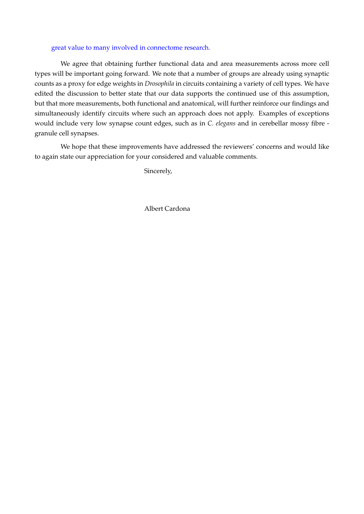## great value to many involved in connectome research.

We agree that obtaining further functional data and area measurements across more cell types will be important going forward. We note that a number of groups are already using synaptic counts as a proxy for edge weights in *Drosophila* in circuits containing a variety of cell types. We have edited the discussion to better state that our data supports the continued use of this assumption, but that more measurements, both functional and anatomical, will further reinforce our findings and simultaneously identify circuits where such an approach does not apply. Examples of exceptions would include very low synapse count edges, such as in *C. elegans* and in cerebellar mossy fibre granule cell synapses.

We hope that these improvements have addressed the reviewers' concerns and would like to again state our appreciation for your considered and valuable comments.

Sincerely,

Albert Cardona